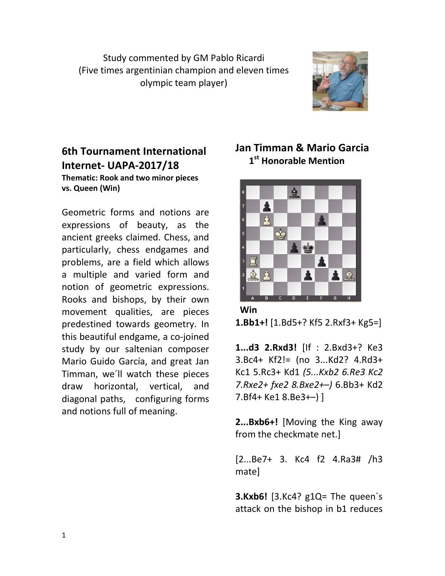Study commented by GM Pablo Ricardi (Five times argentinian champion and eleven times olympic team player)



## 6th Tournament International Internet- UAPA-2017/18

Thematic: Rook and two minor pieces vs. Queen (Win)

Geometric forms and notions are expressions of beauty, as the ancient greeks claimed. Chess, and particularly, chess endgames and problems, are a field which allows a multiple and varied form and notion of geometric expressions. Rooks and bishops, by their own movement qualities, are pieces predestined towards geometry. In this beautiful endgame, a co-joined study by our saltenian composer Mario Guido García, and great Jan Timman, we´ll watch these pieces draw horizontal, vertical, and diagonal paths, configuring forms and notions full of meaning.

## Jan Timman & Mario Garcia 1<sup>st</sup> Honorable Mention



 Win 1.Bb1+! [1.Bd5+? Kf5 2.Rxf3+ Kg5=]

1...d3 2.Rxd3! [If : 2.Bxd3+? Ke3 3.Bc4+ Kf2!= (no 3...Kd2? 4.Rd3+ Kc1 5.Rc3+ Kd1 (5...Kxb2 6.Re3 Kc2 7.Rxe2+ fxe2 8.Bxe2+–) 6.Bb3+ Kd2 7.Bf4+ Ke1 8.Be3+–) ]

2...Bxb6+! [Moving the King away from the checkmate net.]

[2...Be7+ 3. Kc4 f2 4.Ra3# /h3 mate]

**3.Kxb6!** [3.Kc4?  $g1Q =$ The queen's attack on the bishop in b1 reduces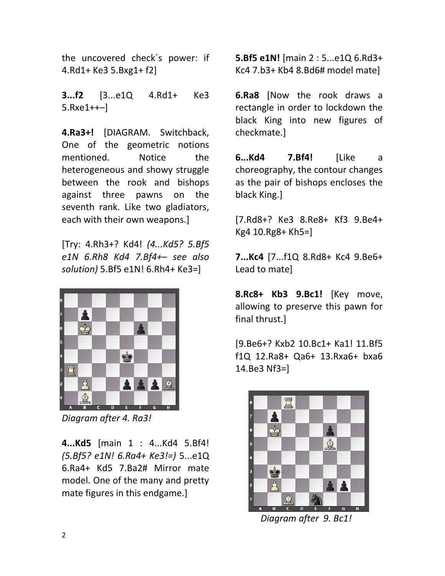the uncovered check´s power: if 4.Rd1+ Ke3 5.Bxg1+ f2]

**3...f2** [3...e1Q 4.Rd1+ Ke3 5.Rxe1++–]

4.Ra3+! [DIAGRAM. Switchback, One of the geometric notions mentioned. Notice the heterogeneous and showy struggle between the rook and bishops against three pawns on the seventh rank. Like two gladiators, each with their own weapons.]

[Try: 4.Rh3+? Kd4! (4...Kd5? 5.Bf5 e1N 6.Rh8 Kd4 7.Bf4+– see also solution) 5.Bf5 e1N! 6.Rh4+ Ke3=]



Diagram after 4. Ra3!

4...Kd5 [main 1 : 4...Kd4 5.Bf4! (5.Bf5? e1N! 6.Ra4+ Ke3!=) 5...e1Q 6.Ra4+ Kd5 7.Ba2# Mirror mate model. One of the many and pretty mate figures in this endgame.]

5.Bf5 e1N! [main 2 : 5...e1Q 6.Rd3+ Kc4 7.b3+ Kb4 8.Bd6# model mate]

6.Ra8 [Now the rook draws a rectangle in order to lockdown the black King into new figures of checkmate.]

6...Kd4 7.Bf4! [Like a choreography, the contour changes as the pair of bishops encloses the black King.]

[7.Rd8+? Ke3 8.Re8+ Kf3 9.Be4+ Kg4 10.Rg8+ Kh5=]

7...Kc4 [7...f1Q 8.Rd8+ Kc4 9.Be6+ Lead to mate]

8.Rc8+ Kb3 9.Bc1! [Key move, allowing to preserve this pawn for final thrust.]

[9.Be6+? Kxb2 10.Bc1+ Ka1! 11.Bf5 f1Q 12.Ra8+ Qa6+ 13.Rxa6+ bxa6 14.Be3 Nf3=]



Diagram after 9. Bc1!